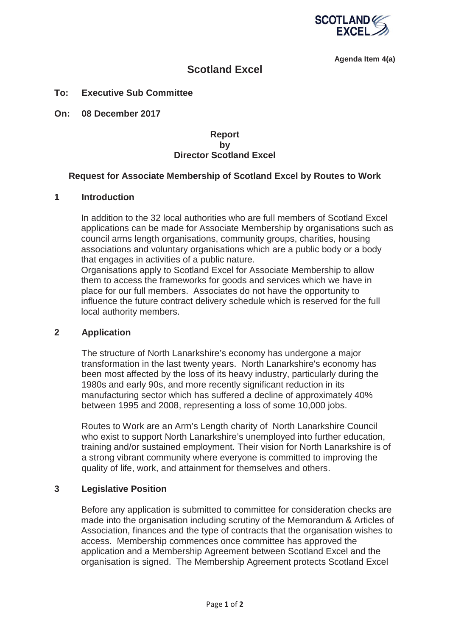

**Agenda Item 4(a)** 

# **Scotland Excel**

#### **To: Executive Sub Committee**

**On: 08 December 2017** 

## **Report by Director Scotland Excel**

#### **Request for Associate Membership of Scotland Excel by Routes to Work**

## **1 Introduction**

In addition to the 32 local authorities who are full members of Scotland Excel applications can be made for Associate Membership by organisations such as council arms length organisations, community groups, charities, housing associations and voluntary organisations which are a public body or a body that engages in activities of a public nature.

Organisations apply to Scotland Excel for Associate Membership to allow them to access the frameworks for goods and services which we have in place for our full members. Associates do not have the opportunity to influence the future contract delivery schedule which is reserved for the full local authority members.

#### **2 Application**

The structure of North Lanarkshire's economy has undergone a major transformation in the last twenty years. North Lanarkshire's economy has been most affected by the loss of its heavy industry, particularly during the 1980s and early 90s, and more recently significant reduction in its manufacturing sector which has suffered a decline of approximately 40% between 1995 and 2008, representing a loss of some 10,000 jobs.

Routes to Work are an Arm's Length charity of North Lanarkshire Council who exist to support North Lanarkshire's unemployed into further education, training and/or sustained employment. Their vision for North Lanarkshire is of a strong vibrant community where everyone is committed to improving the quality of life, work, and attainment for themselves and others.

#### **3 Legislative Position**

Before any application is submitted to committee for consideration checks are made into the organisation including scrutiny of the Memorandum & Articles of Association, finances and the type of contracts that the organisation wishes to access. Membership commences once committee has approved the application and a Membership Agreement between Scotland Excel and the organisation is signed. The Membership Agreement protects Scotland Excel